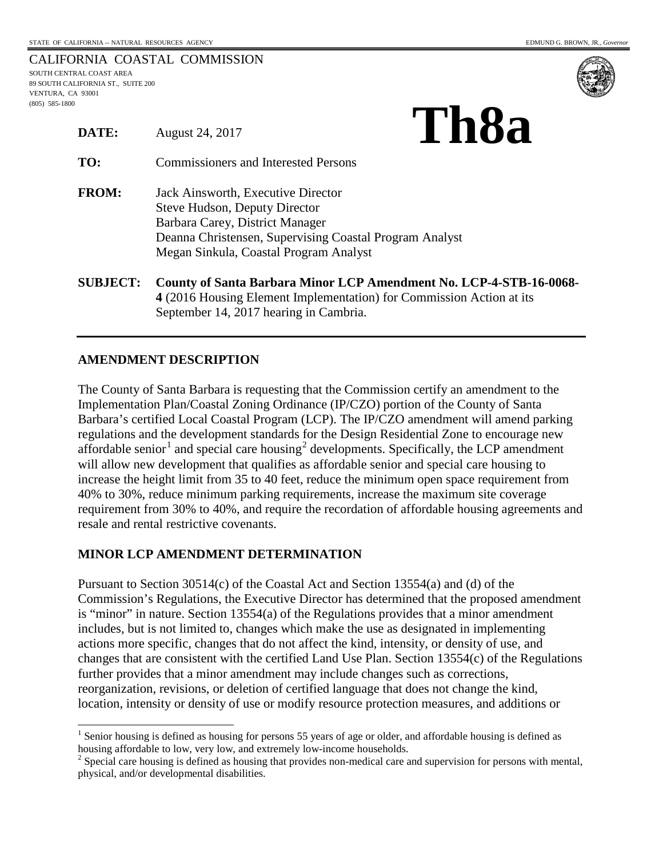**THEO** 

|                                    | CALIFORNIA COASTAL COMMISSION |
|------------------------------------|-------------------------------|
| SOUTH CENTRAL COAST AREA           |                               |
| 89 SOUTH CALIFORNIA ST., SUITE 200 |                               |
| VENTURA. CA 93001                  |                               |
| $(805)$ 585-1800                   |                               |



| DATE:           | T 1199<br>August 24, 2017                                                                                                                                                                                          |  |
|-----------------|--------------------------------------------------------------------------------------------------------------------------------------------------------------------------------------------------------------------|--|
| TO:             | <b>Commissioners and Interested Persons</b>                                                                                                                                                                        |  |
| <b>FROM:</b>    | Jack Ainsworth, Executive Director<br><b>Steve Hudson, Deputy Director</b><br>Barbara Carey, District Manager<br>Deanna Christensen, Supervising Coastal Program Analyst<br>Megan Sinkula, Coastal Program Analyst |  |
| <b>SUBJECT:</b> | County of Santa Barbara Minor LCP Amendment No. LCP-4-STB-16-0068-<br>4 (2016 Housing Element Implementation) for Commission Action at its<br>September 14, 2017 hearing in Cambria.                               |  |

## **AMENDMENT DESCRIPTION**

 $\overline{a}$ 

The County of Santa Barbara is requesting that the Commission certify an amendment to the Implementation Plan/Coastal Zoning Ordinance (IP/CZO) portion of the County of Santa Barbara's certified Local Coastal Program (LCP). The IP/CZO amendment will amend parking regulations and the development standards for the Design Residential Zone to encourage new affordable senior<sup>[1](#page-0-0)</sup> and special care housing<sup>[2](#page-0-1)</sup> developments. Specifically, the LCP amendment will allow new development that qualifies as affordable senior and special care housing to increase the height limit from 35 to 40 feet, reduce the minimum open space requirement from 40% to 30%, reduce minimum parking requirements, increase the maximum site coverage requirement from 30% to 40%, and require the recordation of affordable housing agreements and resale and rental restrictive covenants.

## **MINOR LCP AMENDMENT DETERMINATION**

Pursuant to Section 30514(c) of the Coastal Act and Section 13554(a) and (d) of the Commission's Regulations, the Executive Director has determined that the proposed amendment is "minor" in nature. Section 13554(a) of the Regulations provides that a minor amendment includes, but is not limited to, changes which make the use as designated in implementing actions more specific, changes that do not affect the kind, intensity, or density of use, and changes that are consistent with the certified Land Use Plan. Section 13554(c) of the Regulations further provides that a minor amendment may include changes such as corrections, reorganization, revisions, or deletion of certified language that does not change the kind, location, intensity or density of use or modify resource protection measures, and additions or

<sup>&</sup>lt;sup>1</sup> Senior housing is defined as housing for persons 55 years of age or older, and affordable housing is defined as

<span id="page-0-1"></span><span id="page-0-0"></span>housing affordable to low, very low, and extremely low-income households. <sup>2</sup> Special care housing is defined as housing that provides non-medical care and supervision for persons with mental, physical, and/or developmental disabilities.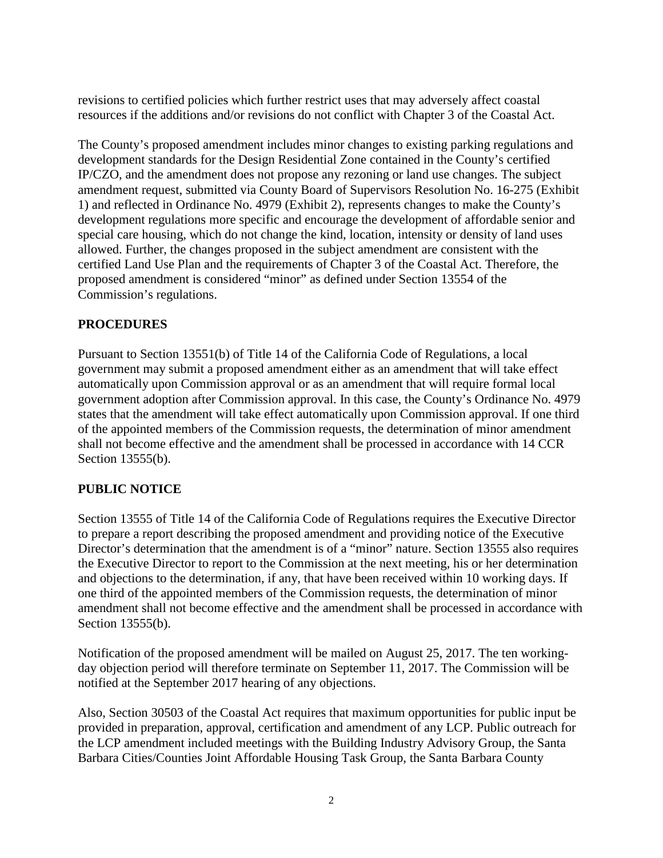revisions to certified policies which further restrict uses that may adversely affect coastal resources if the additions and/or revisions do not conflict with Chapter 3 of the Coastal Act.

The County's proposed amendment includes minor changes to existing parking regulations and development standards for the Design Residential Zone contained in the County's certified IP/CZO, and the amendment does not propose any rezoning or land use changes. The subject amendment request, submitted via County Board of Supervisors Resolution No. 16-275 (Exhibit 1) and reflected in Ordinance No. 4979 (Exhibit 2), represents changes to make the County's development regulations more specific and encourage the development of affordable senior and special care housing, which do not change the kind, location, intensity or density of land uses allowed. Further, the changes proposed in the subject amendment are consistent with the certified Land Use Plan and the requirements of Chapter 3 of the Coastal Act. Therefore, the proposed amendment is considered "minor" as defined under Section 13554 of the Commission's regulations.

## **PROCEDURES**

Pursuant to Section 13551(b) of Title 14 of the California Code of Regulations, a local government may submit a proposed amendment either as an amendment that will take effect automatically upon Commission approval or as an amendment that will require formal local government adoption after Commission approval. In this case, the County's Ordinance No. 4979 states that the amendment will take effect automatically upon Commission approval. If one third of the appointed members of the Commission requests, the determination of minor amendment shall not become effective and the amendment shall be processed in accordance with 14 CCR Section 13555(b).

## **PUBLIC NOTICE**

Section 13555 of Title 14 of the California Code of Regulations requires the Executive Director to prepare a report describing the proposed amendment and providing notice of the Executive Director's determination that the amendment is of a "minor" nature. Section 13555 also requires the Executive Director to report to the Commission at the next meeting, his or her determination and objections to the determination, if any, that have been received within 10 working days. If one third of the appointed members of the Commission requests, the determination of minor amendment shall not become effective and the amendment shall be processed in accordance with Section 13555(b).

Notification of the proposed amendment will be mailed on August 25, 2017. The ten workingday objection period will therefore terminate on September 11, 2017. The Commission will be notified at the September 2017 hearing of any objections.

Also, Section 30503 of the Coastal Act requires that maximum opportunities for public input be provided in preparation, approval, certification and amendment of any LCP. Public outreach for the LCP amendment included meetings with the Building Industry Advisory Group, the Santa Barbara Cities/Counties Joint Affordable Housing Task Group, the Santa Barbara County